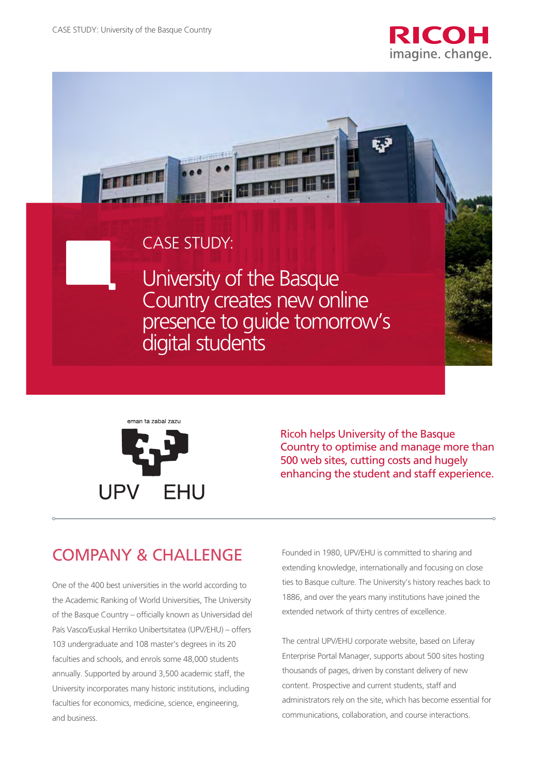





Ricoh helps University of the Basque Country to optimise and manage more than 500 web sites, cutting costs and hugely enhancing the student and staff experience.

## COMPANY & CHALLENGE

One of the 400 best universities in the world according to the Academic Ranking of World Universities, The University of the Basque Country – officially known as Universidad del País Vasco/Euskal Herriko Unibertsitatea (UPV/EHU) – offers 103 undergraduate and 108 master's degrees in its 20 faculties and schools, and enrols some 48,000 students annually. Supported by around 3,500 academic staff, the University incorporates many historic institutions, including faculties for economics, medicine, science, engineering, and business.

Founded in 1980, UPV/EHU is committed to sharing and extending knowledge, internationally and focusing on close ties to Basque culture. The University's history reaches back to 1886, and over the years many institutions have joined the extended network of thirty centres of excellence.

The central UPV/EHU corporate website, based on Liferay Enterprise Portal Manager, supports about 500 sites hosting thousands of pages, driven by constant delivery of new content. Prospective and current students, staff and administrators rely on the site, which has become essential for communications, collaboration, and course interactions.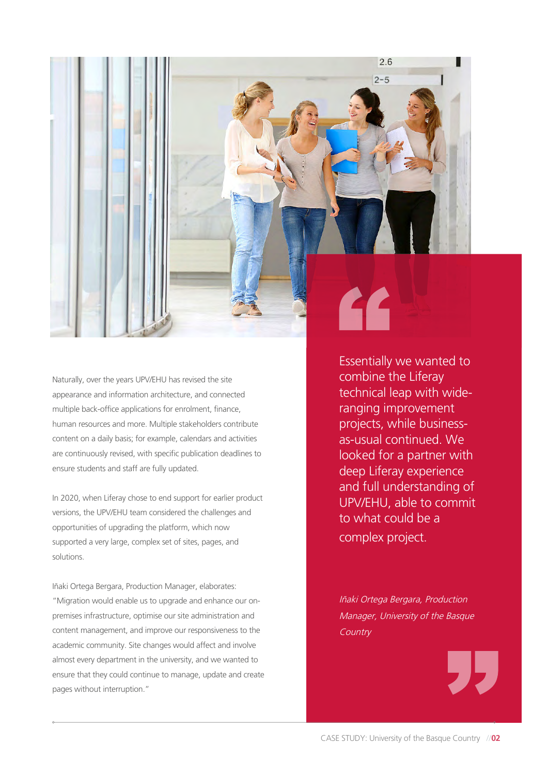

Naturally, over the years UPV/EHU has revised the site appearance and information architecture, and connected multiple back-office applications for enrolment, finance, human resources and more. Multiple stakeholders contribute content on a daily basis; for example, calendars and activities are continuously revised, with specific publication deadlines to ensure students and staff are fully updated.

In 2020, when Liferay chose to end support for earlier product versions, the UPV/EHU team considered the challenges and opportunities of upgrading the platform, which now supported a very large, complex set of sites, pages, and solutions.

Iñaki Ortega Bergara, Production Manager, elaborates: "Migration would enable us to upgrade and enhance our onpremises infrastructure, optimise our site administration and content management, and improve our responsiveness to the academic community. Site changes would affect and involve almost every department in the university, and we wanted to ensure that they could continue to manage, update and create pages without interruption."

Essentially we wanted to combine the Liferay technical leap with wideranging improvement projects, while businessas-usual continued. We looked for a partner with deep Liferay experience and full understanding of UPV/EHU, able to commit to what could be a complex project.

Iñaki Ortega Bergara, Production Manager, University of the Basque **Country** 

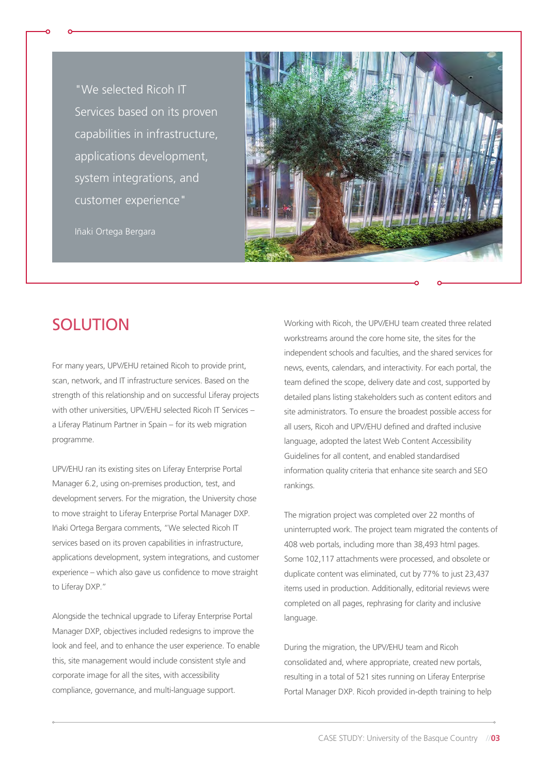"We selected Ricoh IT Services based on its proven capabilities in infrastructure, applications development, system integrations, and customer experience"

Iñaki Ortega Bergara



## **SOLUTION**

For many years, UPV/EHU retained Ricoh to provide print, scan, network, and IT infrastructure services. Based on the strength of this relationship and on successful Liferay projects with other universities, UPV/EHU selected Ricoh IT Services – a Liferay Platinum Partner in Spain – for its web migration programme.

UPV/EHU ran its existing sites on Liferay Enterprise Portal Manager 6.2, using on-premises production, test, and development servers. For the migration, the University chose to move straight to Liferay Enterprise Portal Manager DXP. Iñaki Ortega Bergara comments, "We selected Ricoh IT services based on its proven capabilities in infrastructure, applications development, system integrations, and customer experience – which also gave us confidence to move straight to Liferay DXP."

Alongside the technical upgrade to Liferay Enterprise Portal Manager DXP, objectives included redesigns to improve the look and feel, and to enhance the user experience. To enable this, site management would include consistent style and corporate image for all the sites, with accessibility compliance, governance, and multi-language support.

Working with Ricoh, the UPV/EHU team created three related workstreams around the core home site, the sites for the independent schools and faculties, and the shared services for news, events, calendars, and interactivity. For each portal, the team defined the scope, delivery date and cost, supported by detailed plans listing stakeholders such as content editors and site administrators. To ensure the broadest possible access for all users, Ricoh and UPV/EHU defined and drafted inclusive language, adopted the latest Web Content Accessibility Guidelines for all content, and enabled standardised information quality criteria that enhance site search and SEO rankings.

The migration project was completed over 22 months of uninterrupted work. The project team migrated the contents of 408 web portals, including more than 38,493 html pages. Some 102,117 attachments were processed, and obsolete or duplicate content was eliminated, cut by 77% to just 23,437 items used in production. Additionally, editorial reviews were completed on all pages, rephrasing for clarity and inclusive language.

During the migration, the UPV/EHU team and Ricoh consolidated and, where appropriate, created new portals, resulting in a total of 521 sites running on Liferay Enterprise Portal Manager DXP. Ricoh provided in-depth training to help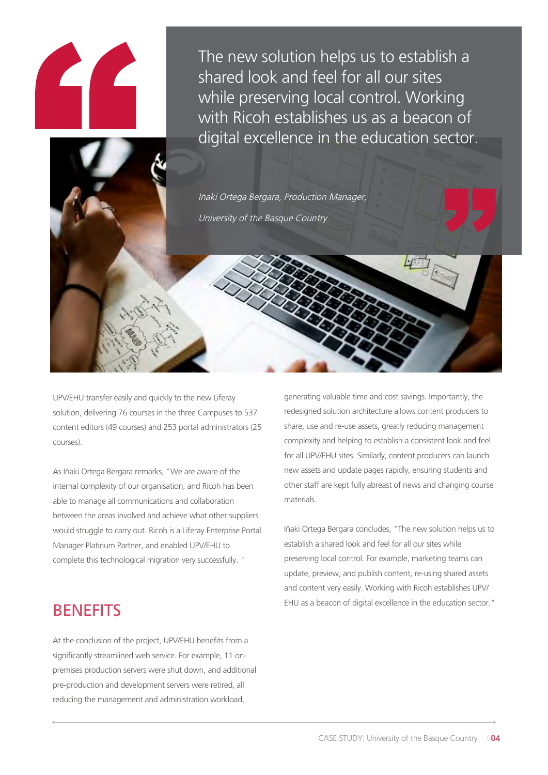The new solution helps us to establish a shared look and feel for all our sites while preserving local control. Working with Ricoh establishes us as a beacon of digital excellence in the education sector.

Iñaki Ortega Bergara, Production Manager, University of the Basque Country

UPV/EHU transfer easily and quickly to the new Liferay solution, delivering 76 courses in the three Campuses to 537 content editors (49 courses) and 253 portal administrators (25 courses).

As Iñaki Ortega Bergara remarks, "We are aware of the internal complexity of our organisation, and Ricoh has been able to manage all communications and collaboration between the areas involved and achieve what other suppliers would struggle to carry out. Ricoh is a Liferay Enterprise Portal Manager Platinum Partner, and enabled UPV/EHU to complete this technological migration very successfully. "

generating valuable time and cost savings. Importantly, the redesigned solution architecture allows content producers to share, use and re-use assets, greatly reducing management complexity and helping to establish a consistent look and feel for all UPV/EHU sites. Similarly, content producers can launch new assets and update pages rapidly, ensuring students and other staff are kept fully abreast of news and changing course materials.

Iñaki Ortega Bergara concludes, "The new solution helps us to establish a shared look and feel for all our sites while preserving local control. For example, marketing teams can update, preview, and publish content, re-using shared assets and content very easily. Working with Ricoh establishes UPV/ EHU as a beacon of digital excellence in the education sector."

## **BENEFITS**

At the conclusion of the project, UPV/EHU benefits from a significantly streamlined web service. For example, 11 onpremises production servers were shut down, and additional pre-production and development servers were retired, all reducing the management and administration workload,